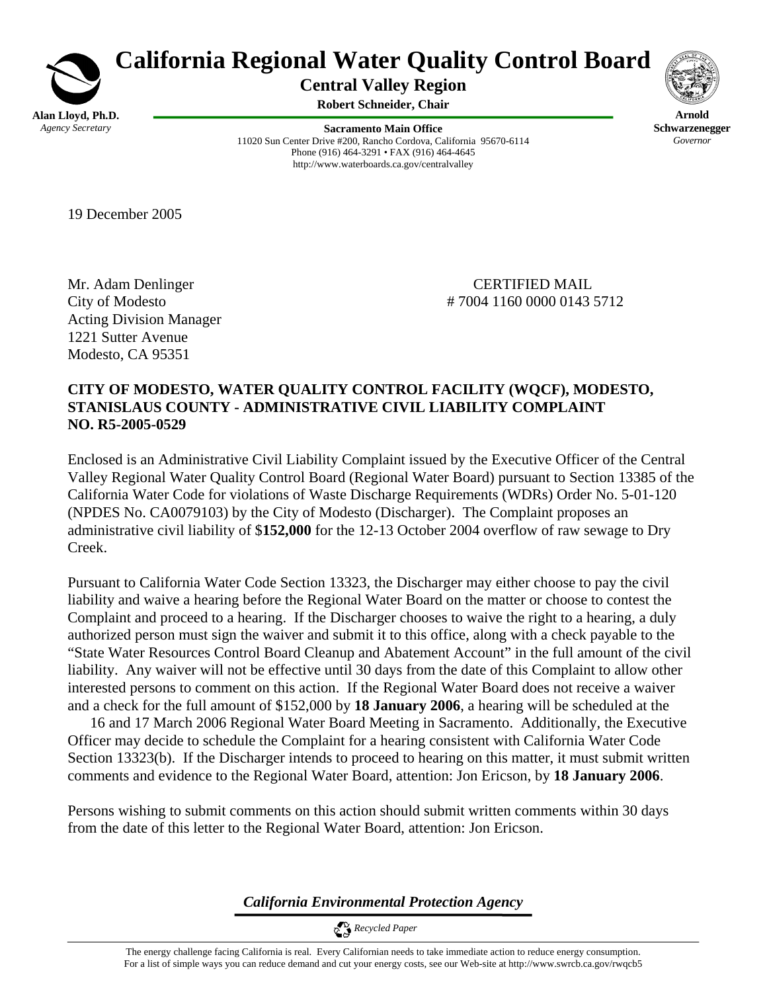

# **California Regional Water Quality Control Board**

**Central Valley Region** 

**Robert Schneider, Chair**

**Sacramento Main Office** 11020 Sun Center Drive #200, Rancho Cordova, California 95670-6114 Phone (916) 464-3291 • FAX (916) 464-4645 http://www.waterboards.ca.gov/centralvalley



**Arnold Schwarzenegger** *Governor* 

19 December 2005

Mr. Adam Denlinger CERTIFIED MAIL Acting Division Manager 1221 Sutter Avenue Modesto, CA 95351

City of Modesto # 7004 1160 0000 0143 5712

## **CITY OF MODESTO, WATER QUALITY CONTROL FACILITY (WQCF), MODESTO, STANISLAUS COUNTY - ADMINISTRATIVE CIVIL LIABILITY COMPLAINT NO. R5-2005-0529**

Enclosed is an Administrative Civil Liability Complaint issued by the Executive Officer of the Central Valley Regional Water Quality Control Board (Regional Water Board) pursuant to Section 13385 of the California Water Code for violations of Waste Discharge Requirements (WDRs) Order No. 5-01-120 (NPDES No. CA0079103) by the City of Modesto (Discharger). The Complaint proposes an administrative civil liability of \$**152,000** for the 12-13 October 2004 overflow of raw sewage to Dry Creek.

Pursuant to California Water Code Section 13323, the Discharger may either choose to pay the civil liability and waive a hearing before the Regional Water Board on the matter or choose to contest the Complaint and proceed to a hearing. If the Discharger chooses to waive the right to a hearing, a duly authorized person must sign the waiver and submit it to this office, along with a check payable to the "State Water Resources Control Board Cleanup and Abatement Account" in the full amount of the civil liability. Any waiver will not be effective until 30 days from the date of this Complaint to allow other interested persons to comment on this action. If the Regional Water Board does not receive a waiver and a check for the full amount of \$152,000 by **18 January 2006**, a hearing will be scheduled at the

 16 and 17 March 2006 Regional Water Board Meeting in Sacramento. Additionally, the Executive Officer may decide to schedule the Complaint for a hearing consistent with California Water Code Section 13323(b). If the Discharger intends to proceed to hearing on this matter, it must submit written comments and evidence to the Regional Water Board, attention: Jon Ericson, by **18 January 2006**.

Persons wishing to submit comments on this action should submit written comments within 30 days from the date of this letter to the Regional Water Board, attention: Jon Ericson.

*California Environmental Protection Agency*

 *Recycled Paper*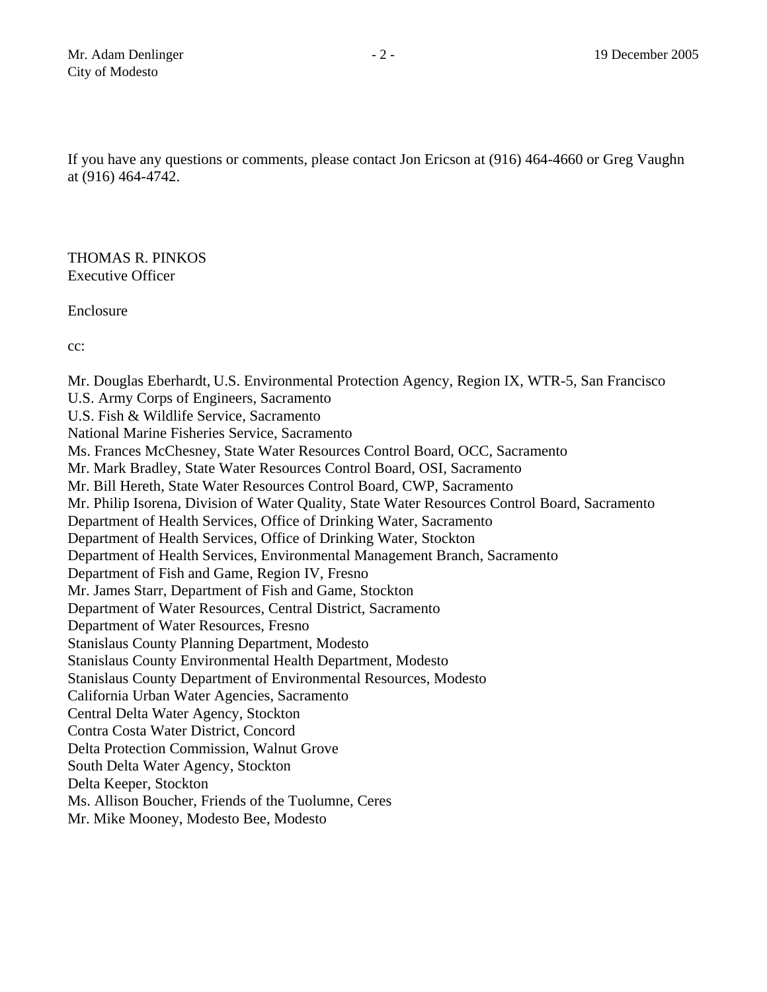If you have any questions or comments, please contact Jon Ericson at (916) 464-4660 or Greg Vaughn at (916) 464-4742.

THOMAS R. PINKOS Executive Officer

Enclosure

cc:

Mr. Douglas Eberhardt, U.S. Environmental Protection Agency, Region IX, WTR-5, San Francisco U.S. Army Corps of Engineers, Sacramento U.S. Fish & Wildlife Service, Sacramento National Marine Fisheries Service, Sacramento Ms. Frances McChesney, State Water Resources Control Board, OCC, Sacramento Mr. Mark Bradley, State Water Resources Control Board, OSI, Sacramento Mr. Bill Hereth, State Water Resources Control Board, CWP, Sacramento Mr. Philip Isorena, Division of Water Quality, State Water Resources Control Board, Sacramento Department of Health Services, Office of Drinking Water, Sacramento Department of Health Services, Office of Drinking Water, Stockton Department of Health Services, Environmental Management Branch, Sacramento Department of Fish and Game, Region IV, Fresno Mr. James Starr, Department of Fish and Game, Stockton Department of Water Resources, Central District, Sacramento Department of Water Resources, Fresno Stanislaus County Planning Department, Modesto Stanislaus County Environmental Health Department, Modesto Stanislaus County Department of Environmental Resources, Modesto California Urban Water Agencies, Sacramento Central Delta Water Agency, Stockton Contra Costa Water District, Concord Delta Protection Commission, Walnut Grove South Delta Water Agency, Stockton Delta Keeper, Stockton Ms. Allison Boucher, Friends of the Tuolumne, Ceres Mr. Mike Mooney, Modesto Bee, Modesto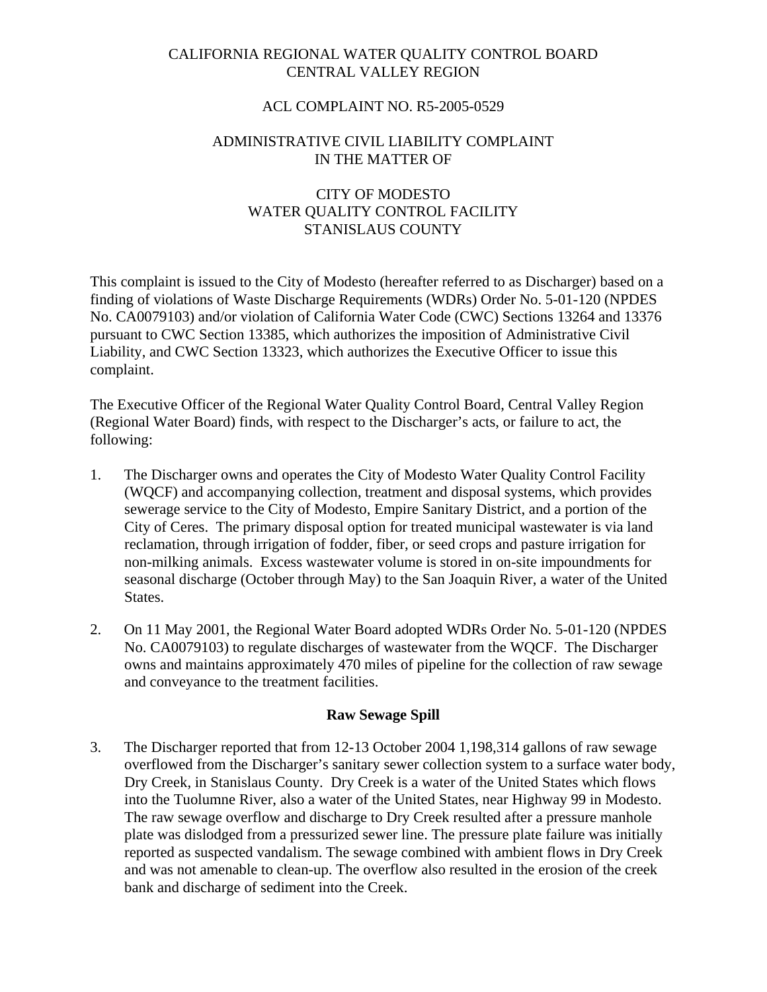## CALIFORNIA REGIONAL WATER QUALITY CONTROL BOARD CENTRAL VALLEY REGION

#### ACL COMPLAINT NO. R5-2005-0529

#### ADMINISTRATIVE CIVIL LIABILITY COMPLAINT IN THE MATTER OF

## CITY OF MODESTO WATER QUALITY CONTROL FACILITY STANISLAUS COUNTY

This complaint is issued to the City of Modesto (hereafter referred to as Discharger) based on a finding of violations of Waste Discharge Requirements (WDRs) Order No. 5-01-120 (NPDES No. CA0079103) and/or violation of California Water Code (CWC) Sections 13264 and 13376 pursuant to CWC Section 13385, which authorizes the imposition of Administrative Civil Liability, and CWC Section 13323, which authorizes the Executive Officer to issue this complaint.

The Executive Officer of the Regional Water Quality Control Board, Central Valley Region (Regional Water Board) finds, with respect to the Discharger's acts, or failure to act, the following:

- 1. The Discharger owns and operates the City of Modesto Water Quality Control Facility (WQCF) and accompanying collection, treatment and disposal systems, which provides sewerage service to the City of Modesto, Empire Sanitary District, and a portion of the City of Ceres. The primary disposal option for treated municipal wastewater is via land reclamation, through irrigation of fodder, fiber, or seed crops and pasture irrigation for non-milking animals. Excess wastewater volume is stored in on-site impoundments for seasonal discharge (October through May) to the San Joaquin River, a water of the United States.
- 2. On 11 May 2001, the Regional Water Board adopted WDRs Order No. 5-01-120 (NPDES No. CA0079103) to regulate discharges of wastewater from the WQCF. The Discharger owns and maintains approximately 470 miles of pipeline for the collection of raw sewage and conveyance to the treatment facilities.

#### **Raw Sewage Spill**

3. The Discharger reported that from 12-13 October 2004 1,198,314 gallons of raw sewage overflowed from the Discharger's sanitary sewer collection system to a surface water body, Dry Creek, in Stanislaus County. Dry Creek is a water of the United States which flows into the Tuolumne River, also a water of the United States, near Highway 99 in Modesto. The raw sewage overflow and discharge to Dry Creek resulted after a pressure manhole plate was dislodged from a pressurized sewer line. The pressure plate failure was initially reported as suspected vandalism. The sewage combined with ambient flows in Dry Creek and was not amenable to clean-up. The overflow also resulted in the erosion of the creek bank and discharge of sediment into the Creek.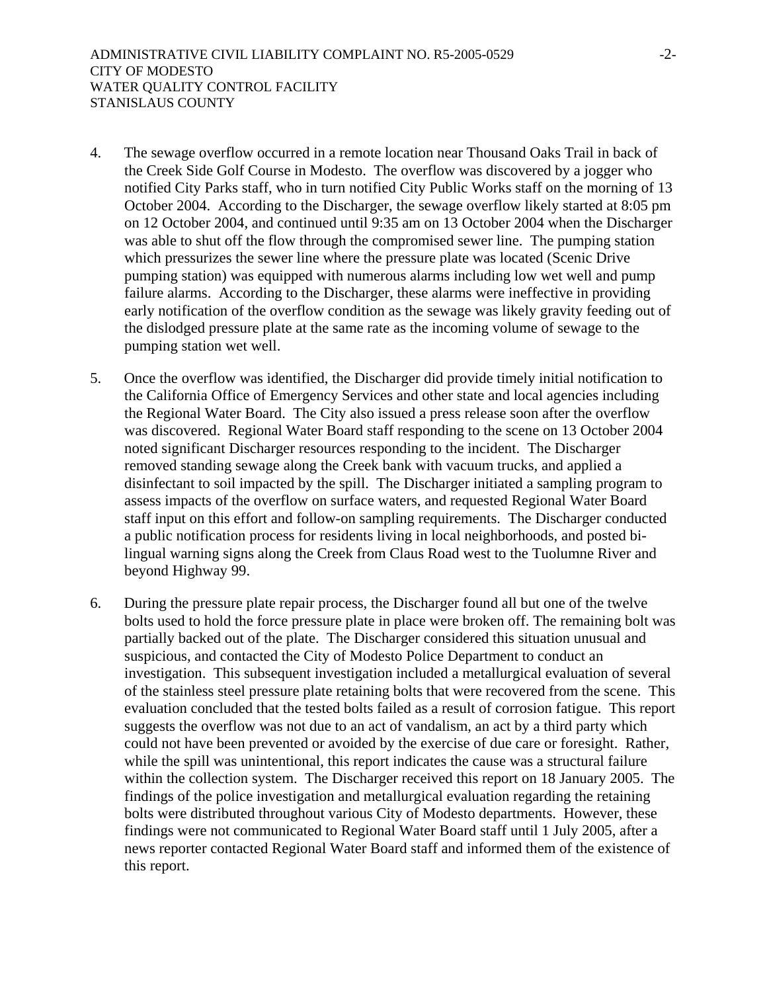- 4. The sewage overflow occurred in a remote location near Thousand Oaks Trail in back of the Creek Side Golf Course in Modesto. The overflow was discovered by a jogger who notified City Parks staff, who in turn notified City Public Works staff on the morning of 13 October 2004. According to the Discharger, the sewage overflow likely started at 8:05 pm on 12 October 2004, and continued until 9:35 am on 13 October 2004 when the Discharger was able to shut off the flow through the compromised sewer line. The pumping station which pressurizes the sewer line where the pressure plate was located (Scenic Drive pumping station) was equipped with numerous alarms including low wet well and pump failure alarms. According to the Discharger, these alarms were ineffective in providing early notification of the overflow condition as the sewage was likely gravity feeding out of the dislodged pressure plate at the same rate as the incoming volume of sewage to the pumping station wet well.
- 5. Once the overflow was identified, the Discharger did provide timely initial notification to the California Office of Emergency Services and other state and local agencies including the Regional Water Board. The City also issued a press release soon after the overflow was discovered. Regional Water Board staff responding to the scene on 13 October 2004 noted significant Discharger resources responding to the incident. The Discharger removed standing sewage along the Creek bank with vacuum trucks, and applied a disinfectant to soil impacted by the spill. The Discharger initiated a sampling program to assess impacts of the overflow on surface waters, and requested Regional Water Board staff input on this effort and follow-on sampling requirements. The Discharger conducted a public notification process for residents living in local neighborhoods, and posted bilingual warning signs along the Creek from Claus Road west to the Tuolumne River and beyond Highway 99.
- 6. During the pressure plate repair process, the Discharger found all but one of the twelve bolts used to hold the force pressure plate in place were broken off. The remaining bolt was partially backed out of the plate. The Discharger considered this situation unusual and suspicious, and contacted the City of Modesto Police Department to conduct an investigation. This subsequent investigation included a metallurgical evaluation of several of the stainless steel pressure plate retaining bolts that were recovered from the scene. This evaluation concluded that the tested bolts failed as a result of corrosion fatigue. This report suggests the overflow was not due to an act of vandalism, an act by a third party which could not have been prevented or avoided by the exercise of due care or foresight. Rather, while the spill was unintentional, this report indicates the cause was a structural failure within the collection system. The Discharger received this report on 18 January 2005. The findings of the police investigation and metallurgical evaluation regarding the retaining bolts were distributed throughout various City of Modesto departments. However, these findings were not communicated to Regional Water Board staff until 1 July 2005, after a news reporter contacted Regional Water Board staff and informed them of the existence of this report.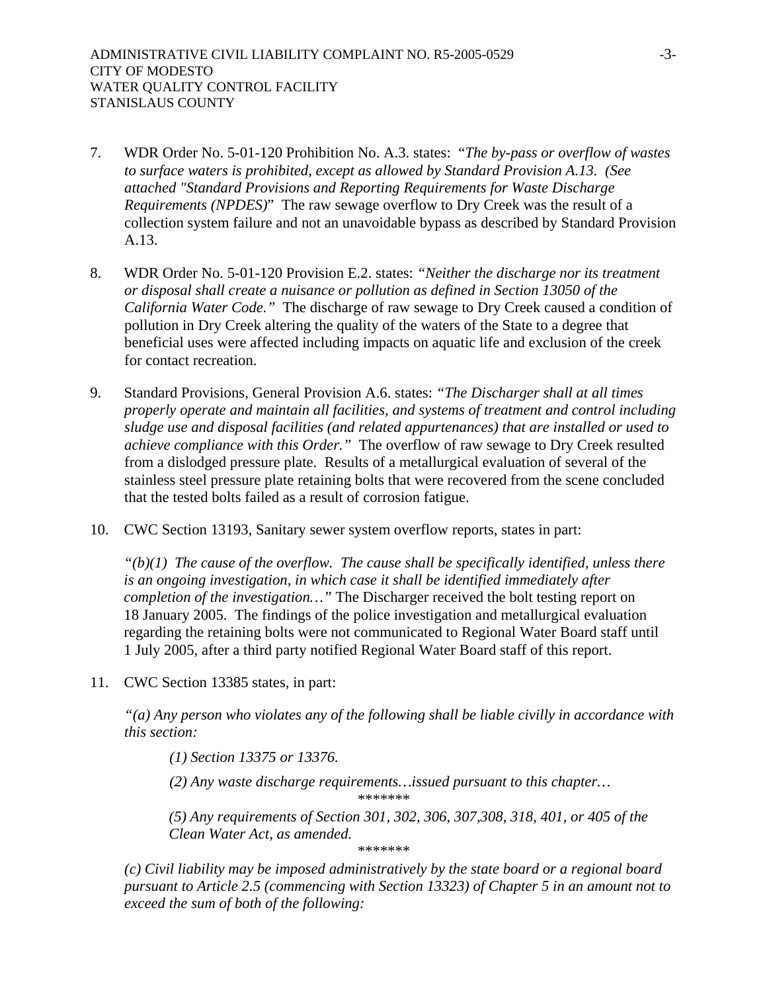- 7. WDR Order No. 5-01-120 Prohibition No. A.3. states: "*The by-pass or overflow of wastes to surface waters is prohibited, except as allowed by Standard Provision A.13. (See attached "Standard Provisions and Reporting Requirements for Waste Discharge Requirements (NPDES)*" The raw sewage overflow to Dry Creek was the result of a collection system failure and not an unavoidable bypass as described by Standard Provision A.13.
- 8. WDR Order No. 5-01-120 Provision E.2. states: *"Neither the discharge nor its treatment or disposal shall create a nuisance or pollution as defined in Section 13050 of the California Water Code."* The discharge of raw sewage to Dry Creek caused a condition of pollution in Dry Creek altering the quality of the waters of the State to a degree that beneficial uses were affected including impacts on aquatic life and exclusion of the creek for contact recreation.
- 9. Standard Provisions, General Provision A.6. states: *"The Discharger shall at all times properly operate and maintain all facilities, and systems of treatment and control including sludge use and disposal facilities (and related appurtenances) that are installed or used to achieve compliance with this Order."* The overflow of raw sewage to Dry Creek resulted from a dislodged pressure plate. Results of a metallurgical evaluation of several of the stainless steel pressure plate retaining bolts that were recovered from the scene concluded that the tested bolts failed as a result of corrosion fatigue.
- 10. CWC Section 13193, Sanitary sewer system overflow reports, states in part:

 $f'(b)(1)$  The cause of the overflow. The cause shall be specifically identified, unless there *is an ongoing investigation, in which case it shall be identified immediately after completion of the investigation…"* The Discharger received the bolt testing report on 18 January 2005. The findings of the police investigation and metallurgical evaluation regarding the retaining bolts were not communicated to Regional Water Board staff until 1 July 2005, after a third party notified Regional Water Board staff of this report.

11. CWC Section 13385 states, in part:

*"(a) Any person who violates any of the following shall be liable civilly in accordance with this section:* 

*(1) Section 13375 or 13376.* 

*(2) Any waste discharge requirements…issued pursuant to this chapter… \*\*\*\*\*\*\** 

*(5) Any requirements of Section 301, 302, 306, 307,308, 318, 401, or 405 of the* 

*Clean Water Act, as amended. \*\*\*\*\*\*\** 

*(c) Civil liability may be imposed administratively by the state board or a regional board pursuant to Article 2.5 (commencing with Section 13323) of Chapter 5 in an amount not to exceed the sum of both of the following:*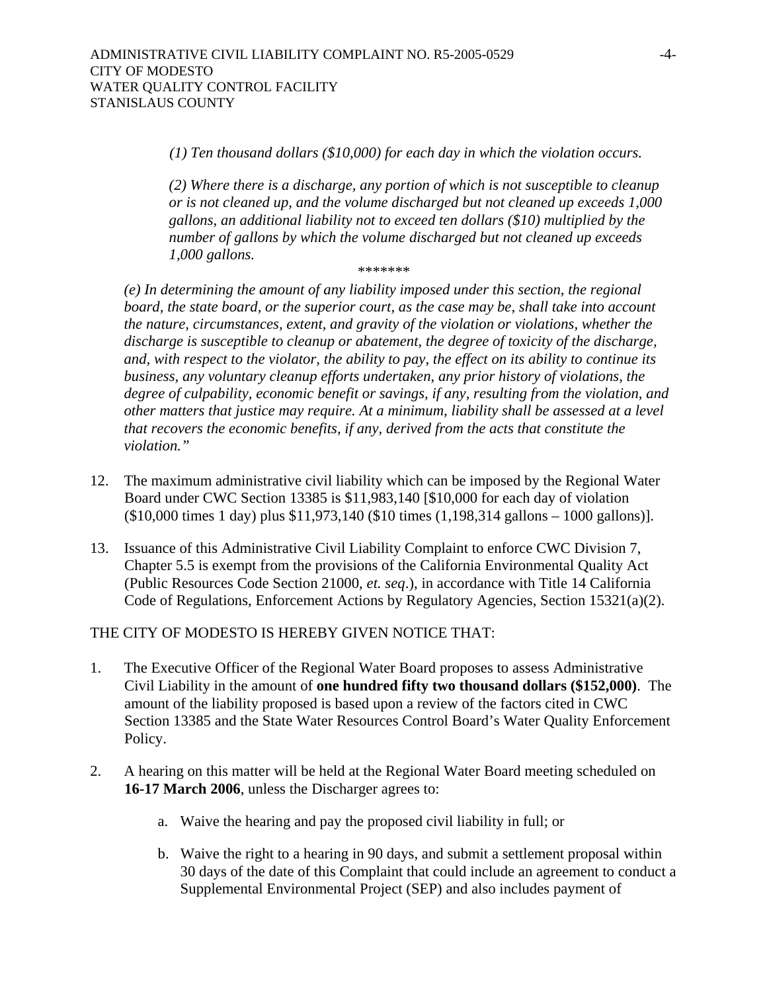*(1) Ten thousand dollars (\$10,000) for each day in which the violation occurs.* 

*(2) Where there is a discharge, any portion of which is not susceptible to cleanup or is not cleaned up, and the volume discharged but not cleaned up exceeds 1,000 gallons, an additional liability not to exceed ten dollars (\$10) multiplied by the number of gallons by which the volume discharged but not cleaned up exceeds 1,000 gallons.* 

*\*\*\*\*\*\*\** 

*(e) In determining the amount of any liability imposed under this section, the regional board, the state board, or the superior court, as the case may be, shall take into account the nature, circumstances, extent, and gravity of the violation or violations, whether the discharge is susceptible to cleanup or abatement, the degree of toxicity of the discharge, and, with respect to the violator, the ability to pay, the effect on its ability to continue its business, any voluntary cleanup efforts undertaken, any prior history of violations, the degree of culpability, economic benefit or savings, if any, resulting from the violation, and other matters that justice may require. At a minimum, liability shall be assessed at a level that recovers the economic benefits, if any, derived from the acts that constitute the violation."* 

- 12. The maximum administrative civil liability which can be imposed by the Regional Water Board under CWC Section 13385 is \$11,983,140 [\$10,000 for each day of violation (\$10,000 times 1 day) plus \$11,973,140 (\$10 times (1,198,314 gallons – 1000 gallons)].
- 13. Issuance of this Administrative Civil Liability Complaint to enforce CWC Division 7, Chapter 5.5 is exempt from the provisions of the California Environmental Quality Act (Public Resources Code Section 21000, *et. seq*.), in accordance with Title 14 California Code of Regulations, Enforcement Actions by Regulatory Agencies, Section 15321(a)(2).

THE CITY OF MODESTO IS HEREBY GIVEN NOTICE THAT:

- 1. The Executive Officer of the Regional Water Board proposes to assess Administrative Civil Liability in the amount of **one hundred fifty two thousand dollars (\$152,000)**. The amount of the liability proposed is based upon a review of the factors cited in CWC Section 13385 and the State Water Resources Control Board's Water Quality Enforcement Policy.
- 2. A hearing on this matter will be held at the Regional Water Board meeting scheduled on **16-17 March 2006**, unless the Discharger agrees to:
	- a. Waive the hearing and pay the proposed civil liability in full; or
	- b. Waive the right to a hearing in 90 days, and submit a settlement proposal within 30 days of the date of this Complaint that could include an agreement to conduct a Supplemental Environmental Project (SEP) and also includes payment of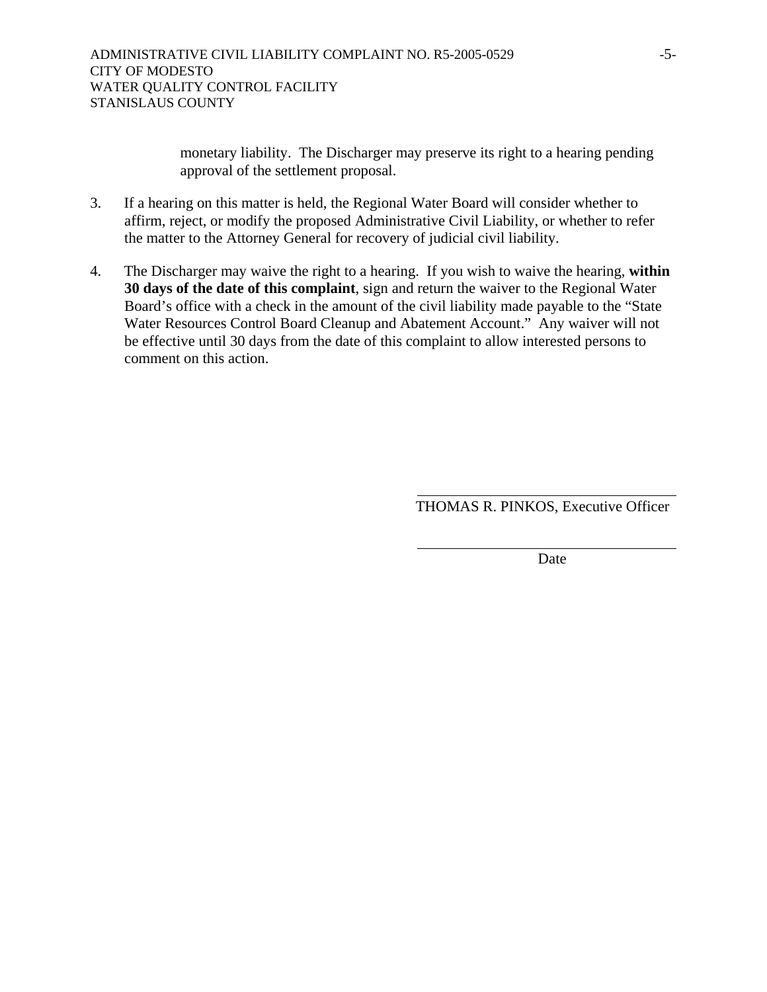monetary liability. The Discharger may preserve its right to a hearing pending approval of the settlement proposal.

- 3. If a hearing on this matter is held, the Regional Water Board will consider whether to affirm, reject, or modify the proposed Administrative Civil Liability, or whether to refer the matter to the Attorney General for recovery of judicial civil liability.
- 4. The Discharger may waive the right to a hearing. If you wish to waive the hearing, **within 30 days of the date of this complaint**, sign and return the waiver to the Regional Water Board's office with a check in the amount of the civil liability made payable to the "State Water Resources Control Board Cleanup and Abatement Account." Any waiver will not be effective until 30 days from the date of this complaint to allow interested persons to comment on this action.

THOMAS R. PINKOS, Executive Officer

**Date**